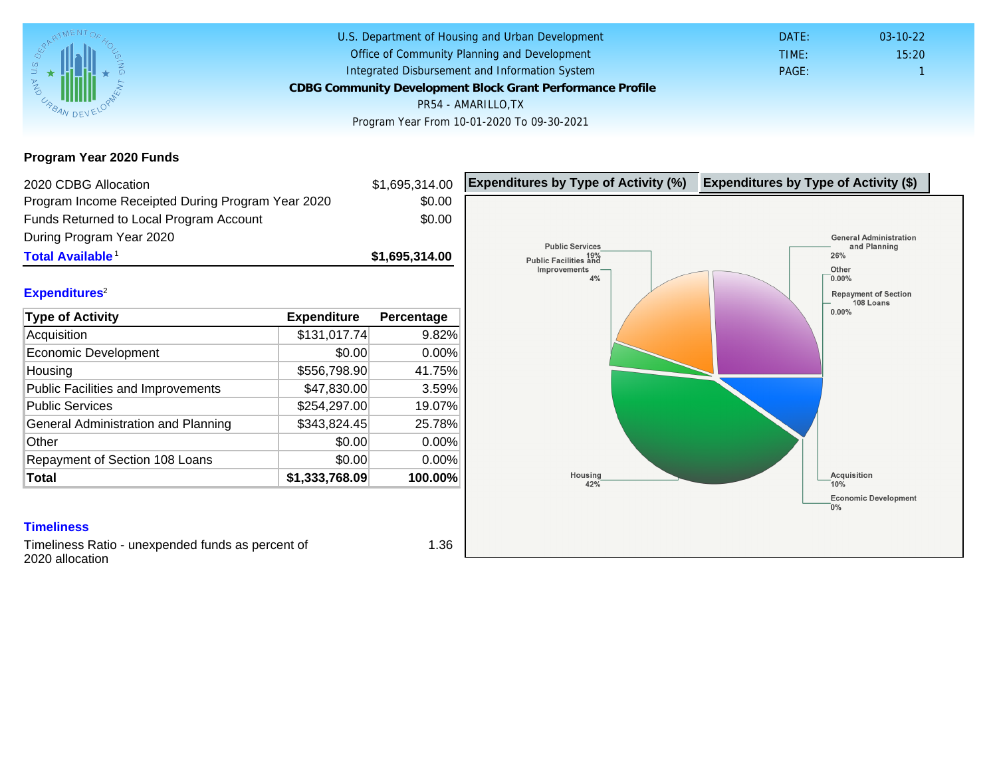Program Year 2020 Funds

| 2020 CDBG Allocation                              |                | \$1,695,314.00 | Expenditures by Type of Activity (%) | Expenditure |
|---------------------------------------------------|----------------|----------------|--------------------------------------|-------------|
| Program Income Receipted During Program Year 2020 |                | \$0.00         |                                      |             |
| Funds Returned to Local Program Account           |                | \$0.00         |                                      |             |
| During Program Year 2020                          |                |                |                                      |             |
| Total Available <sup>1</sup>                      |                | \$1,695,314.00 |                                      |             |
| Expenditures <sup>2</sup>                         |                |                |                                      |             |
| Type of Activity                                  | Expenditure    | Percentage     |                                      |             |
| Acquisition                                       | \$131,017.74   | 9.82%          |                                      |             |
| <b>Economic Development</b>                       | \$0.00         | 0.00%          |                                      |             |
| Housing                                           | \$556,798.90   | 41.75%         |                                      |             |
| Public Facilities and Improvements                | \$47,830.00    | 3.59%          |                                      |             |
| <b>Public Services</b>                            | \$254,297.00   | 19.07%         |                                      |             |
| General Administration and Planning               | \$343,824.45   | 25.78%         |                                      |             |
| Other                                             | \$0.00         | 0.00%          |                                      |             |
| Repayment of Section 108 Loans                    | \$0.00         | 0.00%          |                                      |             |
| Total                                             | \$1,333,768.09 | 100.00%        |                                      |             |
|                                                   |                |                |                                      |             |
| <b>Timeliness</b>                                 |                |                |                                      |             |
| Timeliness Ratio - unexpended funds as percent of |                | 1.36           |                                      |             |

eliness Ratio - unexpended funds as percent of 2020 allocation

1.36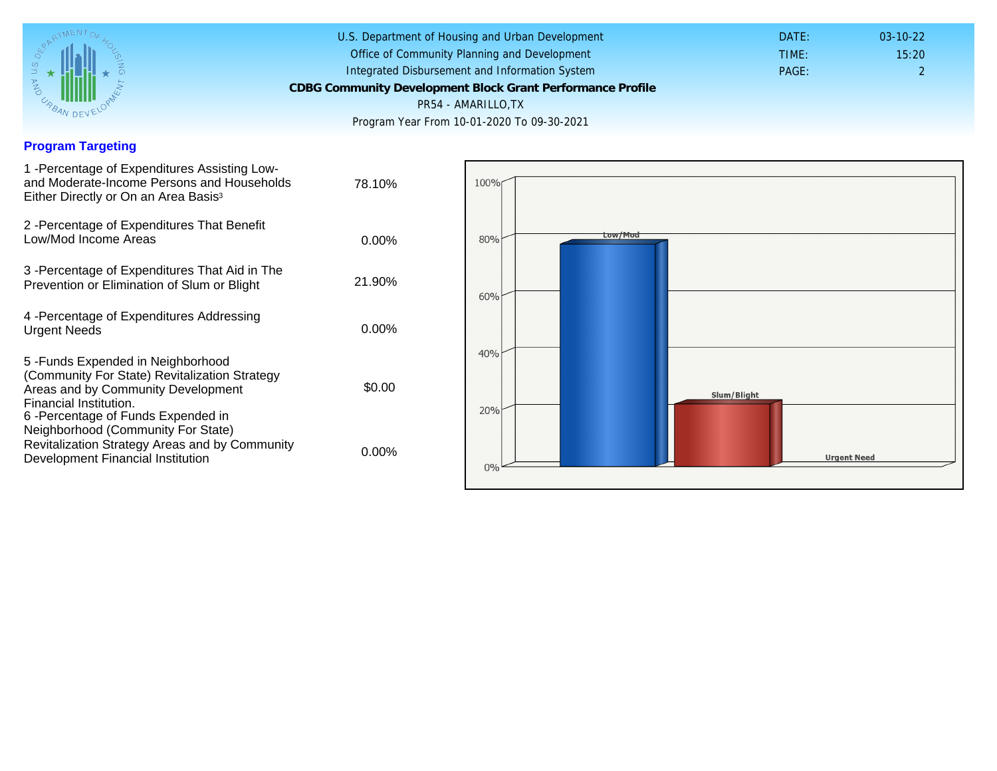## Program Targeting

| 1 - Percentage of Expenditures Assisting Low-<br>and Moderate-Income Persons and Households<br>Either Directly or On an Area Basis <sup>3</sup>                                                                                | 78.10%   |
|--------------------------------------------------------------------------------------------------------------------------------------------------------------------------------------------------------------------------------|----------|
| 2 - Percentage of Expenditures That Benefit<br>Low/Mod Income Areas                                                                                                                                                            | $0.00\%$ |
| 3 -Percentage of Expenditures That Aid in The<br>Prevention or Elimination of Slum or Blight                                                                                                                                   | 21.90%   |
| 4 - Percentage of Expenditures Addressing<br><b>Urgent Needs</b>                                                                                                                                                               | $0.00\%$ |
| 5 - Funds Expended in Neighborhood<br>(Community For State) Revitalization Strategy<br>Areas and by Community Development<br>Financial Institution.<br>6-Percentage of Funds Expended in<br>Neighborhood (Community For State) | \$0.00   |
| Revitalization Strategy Areas and by Community<br>Development Financial Institution                                                                                                                                            | 0.00%    |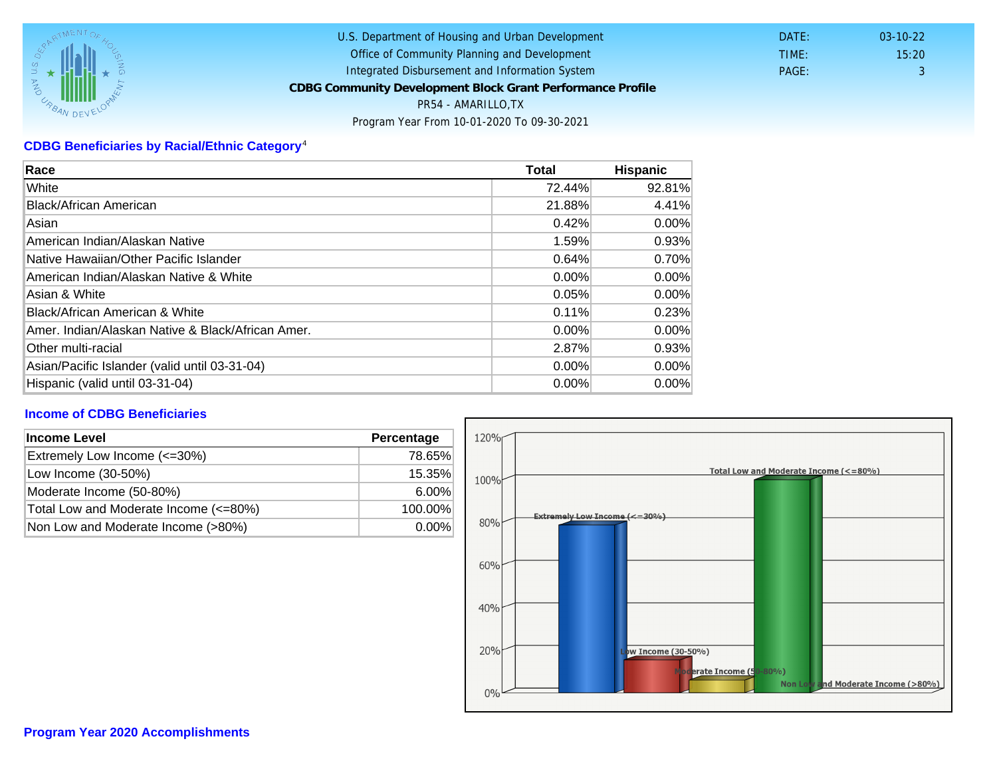## CDBG Beneficiaries by Racial/Ethnic Category <sup>4</sup>

| Race                                              | Total    | Hispanic |
|---------------------------------------------------|----------|----------|
| White                                             | 72.44%   | 92.81%   |
| Black/African American                            | 21.88%   | 4.41%    |
| Asian                                             | 0.42%    | $0.00\%$ |
| American Indian/Alaskan Native                    | 1.59%    | 0.93%    |
| lNative Hawaiian/Other Pacific Islander           | 0.64%    | 0.70%    |
| American Indian/Alaskan Native & White            | 0.00%    | $0.00\%$ |
| Asian & White                                     | 0.05%    | 0.00%    |
| Black/African American & White                    | 0.11%    | 0.23%    |
| Amer. Indian/Alaskan Native & Black/African Amer. | $0.00\%$ | $0.00\%$ |
| Other multi-racial                                | 2.87%    | 0.93%    |
| Asian/Pacific Islander (valid until 03-31-04)     | $0.00\%$ | $0.00\%$ |
| Hispanic (valid until 03-31-04)                   | 0.00%    | 0.00%    |

## Income of CDBG Beneficiaries

| Income Level                          | Percentage |
|---------------------------------------|------------|
| Extremely Low Income (<=30%)          | 78.65%     |
| Low Income (30-50%)                   | 15.35%     |
| Moderate Income (50-80%)              | $6.00\%$   |
| Total Low and Moderate Income (<=80%) | 100.00%    |
| Non Low and Moderate Income (>80%)    | $0.00\%$   |